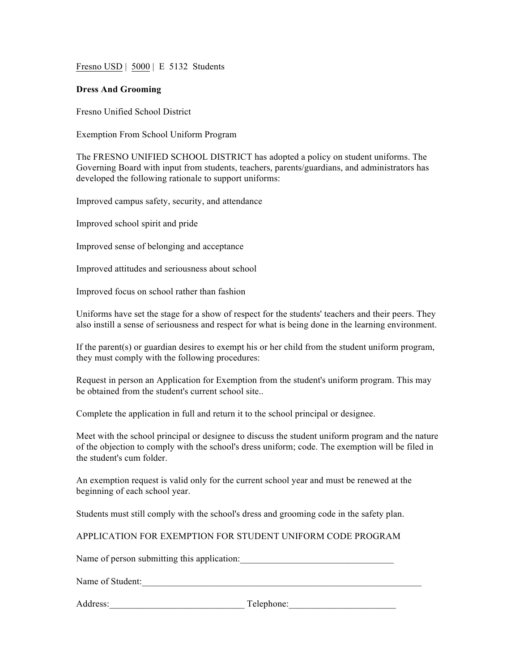Fresno USD | 5000 | E 5132 Students

## **Dress And Grooming**

Fresno Unified School District

Exemption From School Uniform Program

The FRESNO UNIFIED SCHOOL DISTRICT has adopted a policy on student uniforms. The Governing Board with input from students, teachers, parents/guardians, and administrators has developed the following rationale to support uniforms:

Improved campus safety, security, and attendance

Improved school spirit and pride

Improved sense of belonging and acceptance

Improved attitudes and seriousness about school

Improved focus on school rather than fashion

Uniforms have set the stage for a show of respect for the students' teachers and their peers. They also instill a sense of seriousness and respect for what is being done in the learning environment.

If the parent(s) or guardian desires to exempt his or her child from the student uniform program, they must comply with the following procedures:

Request in person an Application for Exemption from the student's uniform program. This may be obtained from the student's current school site..

Complete the application in full and return it to the school principal or designee.

Meet with the school principal or designee to discuss the student uniform program and the nature of the objection to comply with the school's dress uniform; code. The exemption will be filed in the student's cum folder.

An exemption request is valid only for the current school year and must be renewed at the beginning of each school year.

Students must still comply with the school's dress and grooming code in the safety plan.

APPLICATION FOR EXEMPTION FOR STUDENT UNIFORM CODE PROGRAM

Name of person submitting this application:

Name of Student:

Address: Telephone: